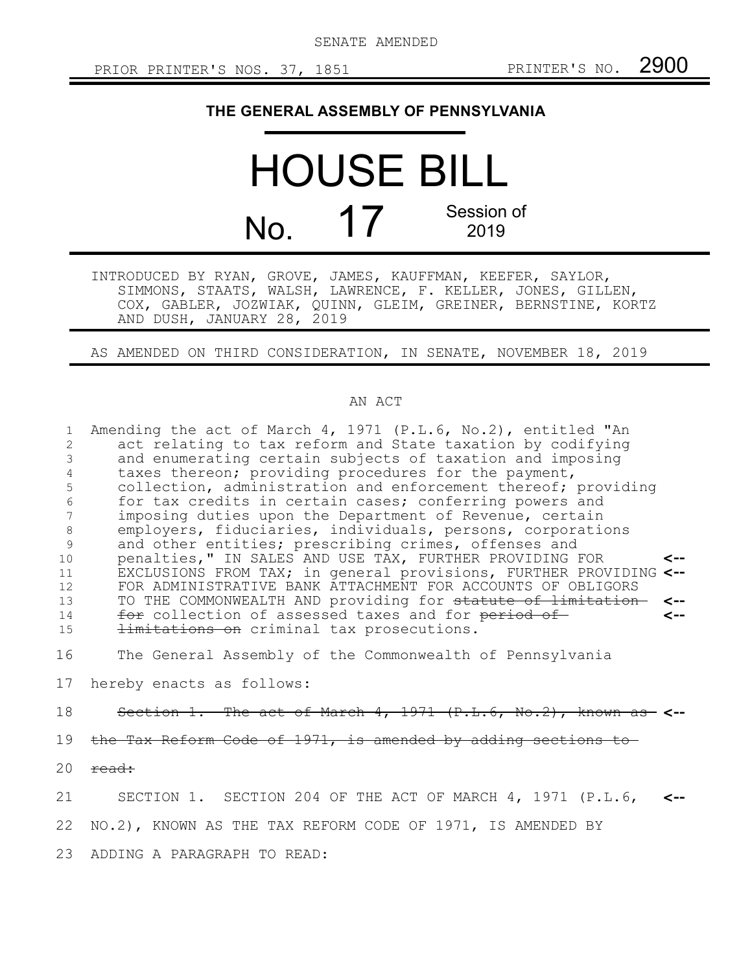SENATE AMENDED

## **THE GENERAL ASSEMBLY OF PENNSYLVANIA**

HOUSE BILL  $N<sub>O</sub>$  17 Session of 2019

INTRODUCED BY RYAN, GROVE, JAMES, KAUFFMAN, KEEFER, SAYLOR, SIMMONS, STAATS, WALSH, LAWRENCE, F. KELLER, JONES, GILLEN, COX, GABLER, JOZWIAK, QUINN, GLEIM, GREINER, BERNSTINE, KORTZ AND DUSH, JANUARY 28, 2019

AS AMENDED ON THIRD CONSIDERATION, IN SENATE, NOVEMBER 18, 2019

## AN ACT

Amending the act of March 4, 1971 (P.L.6, No.2), entitled "An act relating to tax reform and State taxation by codifying and enumerating certain subjects of taxation and imposing taxes thereon; providing procedures for the payment, collection, administration and enforcement thereof; providing for tax credits in certain cases; conferring powers and imposing duties upon the Department of Revenue, certain employers, fiduciaries, individuals, persons, corporations and other entities; prescribing crimes, offenses and penalties," IN SALES AND USE TAX, FURTHER PROVIDING FOR EXCLUSIONS FROM TAX; in general provisions, FURTHER PROVIDING **<--** FOR ADMINISTRATIVE BANK ATTACHMENT FOR ACCOUNTS OF OBLIGORS TO THE COMMONWEALTH AND providing for statute of limitation **<-** for collection of assessed taxes and for period of limitations on criminal tax prosecutions. **<-- <--** 1 2 3 4 5 6 7 8 9 10 11 12 13 14 15

The General Assembly of the Commonwealth of Pennsylvania 16

hereby enacts as follows: 17

Section 1. The act of March 4, 1971 (P.L.6, No.2), known as **<--** 18

the Tax Reform Code of 1971, is amended by adding sections to 19

read: 20

SECTION 1. SECTION 204 OF THE ACT OF MARCH 4, 1971 (P.L.6, **<--** 21

NO.2), KNOWN AS THE TAX REFORM CODE OF 1971, IS AMENDED BY 22

ADDING A PARAGRAPH TO READ: 23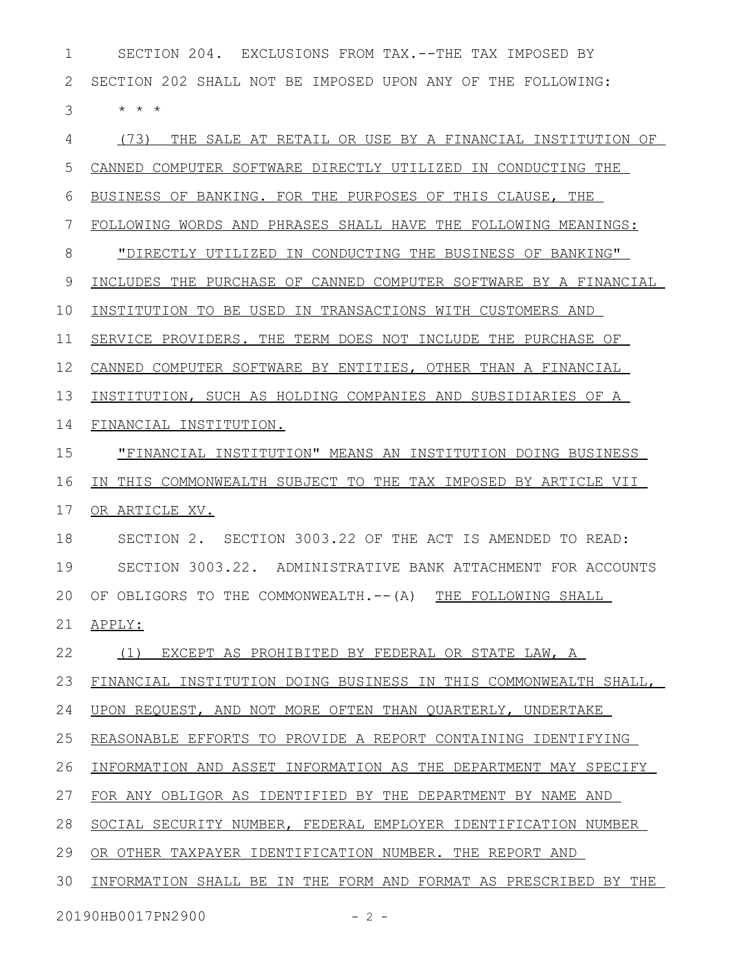SECTION 204. EXCLUSIONS FROM TAX.--THE TAX IMPOSED BY SECTION 202 SHALL NOT BE IMPOSED UPON ANY OF THE FOLLOWING: \* \* \* (73) THE SALE AT RETAIL OR USE BY A FINANCIAL INSTITUTION OF CANNED COMPUTER SOFTWARE DIRECTLY UTILIZED IN CONDUCTING THE BUSINESS OF BANKING. FOR THE PURPOSES OF THIS CLAUSE, THE FOLLOWING WORDS AND PHRASES SHALL HAVE THE FOLLOWING MEANINGS: "DIRECTLY UTILIZED IN CONDUCTING THE BUSINESS OF BANKING" INCLUDES THE PURCHASE OF CANNED COMPUTER SOFTWARE BY A FINANCIAL INSTITUTION TO BE USED IN TRANSACTIONS WITH CUSTOMERS AND SERVICE PROVIDERS. THE TERM DOES NOT INCLUDE THE PURCHASE OF CANNED COMPUTER SOFTWARE BY ENTITIES, OTHER THAN A FINANCIAL INSTITUTION, SUCH AS HOLDING COMPANIES AND SUBSIDIARIES OF A FINANCIAL INSTITUTION. "FINANCIAL INSTITUTION" MEANS AN INSTITUTION DOING BUSINESS IN THIS COMMONWEALTH SUBJECT TO THE TAX IMPOSED BY ARTICLE VII OR ARTICLE XV. SECTION 2. SECTION 3003.22 OF THE ACT IS AMENDED TO READ: SECTION 3003.22. ADMINISTRATIVE BANK ATTACHMENT FOR ACCOUNTS OF OBLIGORS TO THE COMMONWEALTH.--(A) THE FOLLOWING SHALL APPLY: (1) EXCEPT AS PROHIBITED BY FEDERAL OR STATE LAW, A FINANCIAL INSTITUTION DOING BUSINESS IN THIS COMMONWEALTH SHALL, UPON REQUEST, AND NOT MORE OFTEN THAN QUARTERLY, UNDERTAKE REASONABLE EFFORTS TO PROVIDE A REPORT CONTAINING IDENTIFYING INFORMATION AND ASSET INFORMATION AS THE DEPARTMENT MAY SPECIFY FOR ANY OBLIGOR AS IDENTIFIED BY THE DEPARTMENT BY NAME AND SOCIAL SECURITY NUMBER, FEDERAL EMPLOYER IDENTIFICATION NUMBER OR OTHER TAXPAYER IDENTIFICATION NUMBER. THE REPORT AND INFORMATION SHALL BE IN THE FORM AND FORMAT AS PRESCRIBED BY THE 1 2 3 4 5 6 7 8 9 10 11 12 13 14 15 16 17 18 19 20 21 22 23 24 25 26 27 28 29 30

20190HB0017PN2900 - 2 -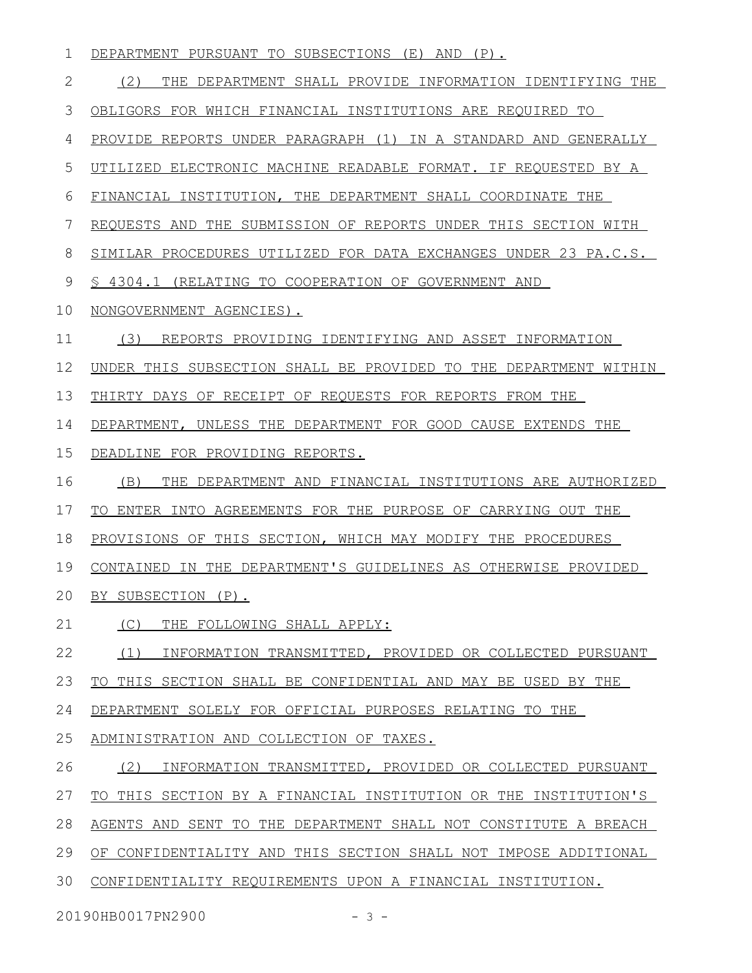| 1            | DEPARTMENT PURSUANT TO SUBSECTIONS (E) AND (P).                     |
|--------------|---------------------------------------------------------------------|
| $\mathbf{2}$ | (2)<br>THE DEPARTMENT SHALL PROVIDE INFORMATION IDENTIFYING THE     |
| 3            | OBLIGORS FOR WHICH FINANCIAL INSTITUTIONS ARE REQUIRED TO           |
| 4            | PROVIDE REPORTS UNDER PARAGRAPH (1) IN A STANDARD AND GENERALLY     |
| 5            | UTILIZED ELECTRONIC MACHINE READABLE FORMAT. IF REQUESTED BY A      |
| 6            | FINANCIAL INSTITUTION, THE DEPARTMENT SHALL COORDINATE THE          |
| 7            | REQUESTS AND THE SUBMISSION OF REPORTS UNDER THIS SECTION WITH      |
| 8            | SIMILAR PROCEDURES UTILIZED FOR DATA EXCHANGES UNDER 23 PA.C.S.     |
| 9            | \$ 4304.1 (RELATING TO COOPERATION OF GOVERNMENT AND                |
| 10           | NONGOVERNMENT AGENCIES).                                            |
| 11           | REPORTS PROVIDING IDENTIFYING AND ASSET INFORMATION<br>(3)          |
| 12           | UNDER THIS SUBSECTION SHALL BE PROVIDED TO THE DEPARTMENT WITHIN    |
| 13           | THIRTY DAYS OF RECEIPT OF REQUESTS FOR REPORTS FROM THE             |
| 14           | DEPARTMENT, UNLESS THE DEPARTMENT FOR GOOD CAUSE EXTENDS THE        |
| 15           | DEADLINE FOR PROVIDING REPORTS.                                     |
| 16           | (B)<br>THE DEPARTMENT AND FINANCIAL INSTITUTIONS ARE AUTHORIZED     |
| 17           | TO ENTER INTO AGREEMENTS FOR THE PURPOSE OF CARRYING OUT THE        |
| 18           | PROVISIONS OF THIS SECTION, WHICH MAY MODIFY THE PROCEDURES         |
| 19           | CONTAINED IN THE DEPARTMENT'S GUIDELINES AS OTHERWISE PROVIDED      |
| 20           | BY SUBSECTION (P).                                                  |
| 21           | (C)<br>THE FOLLOWING SHALL APPLY:                                   |
| 22           | (1)<br>INFORMATION TRANSMITTED, PROVIDED OR COLLECTED PURSUANT      |
| 23           | TO THIS SECTION SHALL BE CONFIDENTIAL AND MAY BE USED BY THE        |
| 24           | DEPARTMENT SOLELY FOR OFFICIAL PURPOSES RELATING TO THE             |
| 25           | ADMINISTRATION AND COLLECTION OF TAXES.                             |
| 26           | (2)<br>INFORMATION TRANSMITTED, PROVIDED OR COLLECTED PURSUANT      |
| 27           | THIS SECTION BY A FINANCIAL INSTITUTION OR THE INSTITUTION'S<br>TO. |
| 28           | AGENTS AND SENT TO THE DEPARTMENT SHALL NOT CONSTITUTE A BREACH     |
| 29           | OF CONFIDENTIALITY AND THIS SECTION SHALL NOT IMPOSE ADDITIONAL     |
| 30           | CONFIDENTIALITY REQUIREMENTS UPON A FINANCIAL INSTITUTION.          |
|              |                                                                     |

20190HB0017PN2900 - 3 -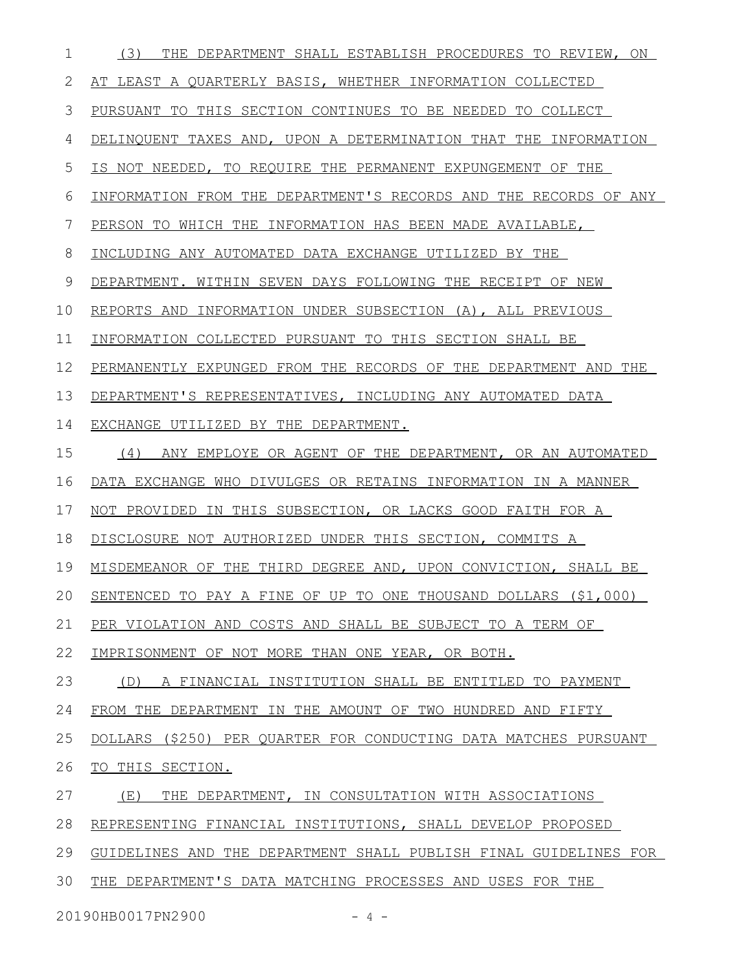| 1  | (3)<br>THE DEPARTMENT SHALL ESTABLISH PROCEDURES TO REVIEW, ON   |
|----|------------------------------------------------------------------|
| 2  | AT LEAST A QUARTERLY BASIS, WHETHER INFORMATION COLLECTED        |
| 3  | PURSUANT TO THIS SECTION CONTINUES TO BE NEEDED TO COLLECT       |
| 4  | DELINQUENT TAXES AND, UPON A DETERMINATION THAT THE INFORMATION  |
| 5  | IS NOT NEEDED, TO REQUIRE THE PERMANENT EXPUNGEMENT OF THE       |
| 6  | INFORMATION FROM THE DEPARTMENT'S RECORDS AND THE RECORDS OF ANY |
| 7  | PERSON TO WHICH THE INFORMATION HAS BEEN MADE AVAILABLE,         |
| 8  | INCLUDING ANY AUTOMATED DATA EXCHANGE UTILIZED BY THE            |
| 9  | DEPARTMENT. WITHIN SEVEN DAYS FOLLOWING THE RECEIPT OF NEW       |
| 10 | REPORTS AND INFORMATION UNDER SUBSECTION (A), ALL PREVIOUS       |
| 11 | INFORMATION COLLECTED PURSUANT TO THIS SECTION SHALL BE          |
| 12 | PERMANENTLY EXPUNGED FROM THE RECORDS OF THE DEPARTMENT AND THE  |
| 13 | DEPARTMENT'S REPRESENTATIVES, INCLUDING ANY AUTOMATED DATA       |
| 14 | EXCHANGE UTILIZED BY THE DEPARTMENT.                             |
| 15 | ANY EMPLOYE OR AGENT OF THE DEPARTMENT, OR AN AUTOMATED<br>(4)   |
| 16 | DATA EXCHANGE WHO DIVULGES OR RETAINS INFORMATION IN A MANNER    |
| 17 | NOT PROVIDED IN THIS SUBSECTION, OR LACKS GOOD FAITH FOR A       |
| 18 | DISCLOSURE NOT AUTHORIZED UNDER THIS SECTION, COMMITS A          |
| 19 | MISDEMEANOR OF THE THIRD DEGREE AND, UPON CONVICTION, SHALL BE   |
| 20 | SENTENCED TO PAY A FINE OF UP TO ONE THOUSAND DOLLARS (\$1,000)  |
| 21 | PER VIOLATION AND COSTS AND SHALL BE SUBJECT TO A TERM OF        |
| 22 | IMPRISONMENT OF NOT MORE THAN ONE YEAR, OR BOTH.                 |
| 23 | A FINANCIAL INSTITUTION SHALL BE ENTITLED TO PAYMENT<br>(D)      |
| 24 | FROM THE DEPARTMENT IN THE AMOUNT OF TWO HUNDRED AND FIFTY       |
| 25 | DOLLARS (\$250) PER QUARTER FOR CONDUCTING DATA MATCHES PURSUANT |
| 26 | TO THIS SECTION.                                                 |
| 27 | THE DEPARTMENT, IN CONSULTATION WITH ASSOCIATIONS<br>(E)         |
| 28 | REPRESENTING FINANCIAL INSTITUTIONS, SHALL DEVELOP PROPOSED      |
| 29 | GUIDELINES AND THE DEPARTMENT SHALL PUBLISH FINAL GUIDELINES FOR |
| 30 | THE DEPARTMENT'S DATA MATCHING PROCESSES AND USES FOR THE        |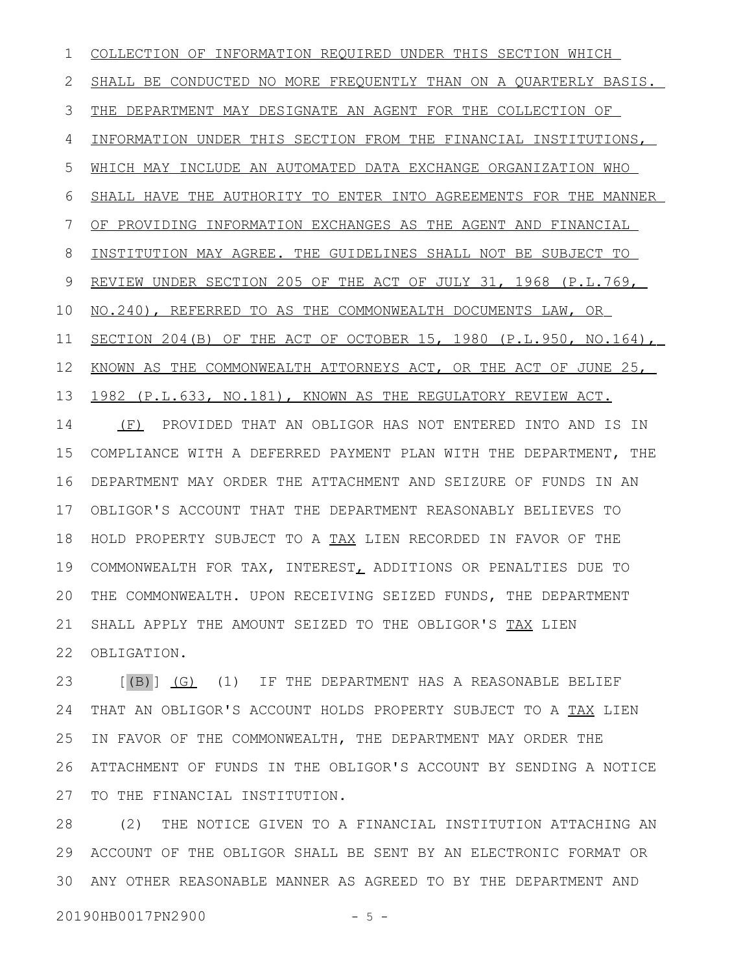COLLECTION OF INFORMATION REQUIRED UNDER THIS SECTION WHICH SHALL BE CONDUCTED NO MORE FREQUENTLY THAN ON A QUARTERLY BASIS. THE DEPARTMENT MAY DESIGNATE AN AGENT FOR THE COLLECTION OF INFORMATION UNDER THIS SECTION FROM THE FINANCIAL INSTITUTIONS, WHICH MAY INCLUDE AN AUTOMATED DATA EXCHANGE ORGANIZATION WHO SHALL HAVE THE AUTHORITY TO ENTER INTO AGREEMENTS FOR THE MANNER OF PROVIDING INFORMATION EXCHANGES AS THE AGENT AND FINANCIAL INSTITUTION MAY AGREE. THE GUIDELINES SHALL NOT BE SUBJECT TO REVIEW UNDER SECTION 205 OF THE ACT OF JULY 31, 1968 (P.L.769, NO.240), REFERRED TO AS THE COMMONWEALTH DOCUMENTS LAW, OR SECTION 204(B) OF THE ACT OF OCTOBER 15, 1980 (P.L.950, NO.164), KNOWN AS THE COMMONWEALTH ATTORNEYS ACT, OR THE ACT OF JUNE 25, 1982 (P.L.633, NO.181), KNOWN AS THE REGULATORY REVIEW ACT. (F) PROVIDED THAT AN OBLIGOR HAS NOT ENTERED INTO AND IS IN COMPLIANCE WITH A DEFERRED PAYMENT PLAN WITH THE DEPARTMENT, THE DEPARTMENT MAY ORDER THE ATTACHMENT AND SEIZURE OF FUNDS IN AN OBLIGOR'S ACCOUNT THAT THE DEPARTMENT REASONABLY BELIEVES TO 18 HOLD PROPERTY SUBJECT TO A TAX LIEN RECORDED IN FAVOR OF THE COMMONWEALTH FOR TAX, INTEREST, ADDITIONS OR PENALTIES DUE TO THE COMMONWEALTH. UPON RECEIVING SEIZED FUNDS, THE DEPARTMENT SHALL APPLY THE AMOUNT SEIZED TO THE OBLIGOR'S TAX LIEN 22 OBLIGATION. 1 2 3 4 5 6 7 8 9 10 11 12 13 14 15 16 17 19 20 21

[(B)] (G) (1) IF THE DEPARTMENT HAS A REASONABLE BELIEF THAT AN OBLIGOR'S ACCOUNT HOLDS PROPERTY SUBJECT TO A TAX LIEN IN FAVOR OF THE COMMONWEALTH, THE DEPARTMENT MAY ORDER THE ATTACHMENT OF FUNDS IN THE OBLIGOR'S ACCOUNT BY SENDING A NOTICE TO THE FINANCIAL INSTITUTION. 23 24 25 26 27

(2) THE NOTICE GIVEN TO A FINANCIAL INSTITUTION ATTACHING AN ACCOUNT OF THE OBLIGOR SHALL BE SENT BY AN ELECTRONIC FORMAT OR 29 ANY OTHER REASONABLE MANNER AS AGREED TO BY THE DEPARTMENT AND 3028

20190HB0017PN2900 - 5 -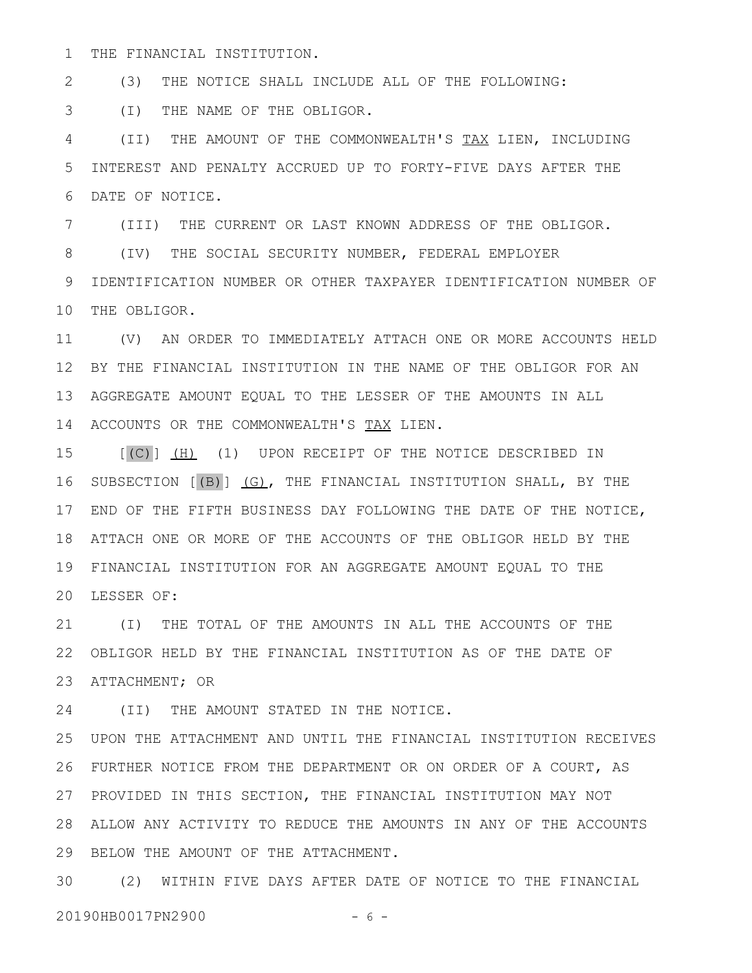THE FINANCIAL INSTITUTION. 1

(3) THE NOTICE SHALL INCLUDE ALL OF THE FOLLOWING: 2

(I) THE NAME OF THE OBLIGOR. 3

(II) THE AMOUNT OF THE COMMONWEALTH'S TAX LIEN, INCLUDING INTEREST AND PENALTY ACCRUED UP TO FORTY-FIVE DAYS AFTER THE DATE OF NOTICE. 4 5 6

(III) THE CURRENT OR LAST KNOWN ADDRESS OF THE OBLIGOR. 7

(IV) THE SOCIAL SECURITY NUMBER, FEDERAL EMPLOYER 9 IDENTIFICATION NUMBER OR OTHER TAXPAYER IDENTIFICATION NUMBER OF 10 THE OBLIGOR. 8

(V) AN ORDER TO IMMEDIATELY ATTACH ONE OR MORE ACCOUNTS HELD 11 BY THE FINANCIAL INSTITUTION IN THE NAME OF THE OBLIGOR FOR AN 12 AGGREGATE AMOUNT EQUAL TO THE LESSER OF THE AMOUNTS IN ALL 13 14 ACCOUNTS OR THE COMMONWEALTH'S TAX LIEN.

[(C)] (H) (1) UPON RECEIPT OF THE NOTICE DESCRIBED IN SUBSECTION [(B)] (G), THE FINANCIAL INSTITUTION SHALL, BY THE END OF THE FIFTH BUSINESS DAY FOLLOWING THE DATE OF THE NOTICE, 17 18 ATTACH ONE OR MORE OF THE ACCOUNTS OF THE OBLIGOR HELD BY THE FINANCIAL INSTITUTION FOR AN AGGREGATE AMOUNT EQUAL TO THE 19 LESSER OF: 20 15 16

(I) THE TOTAL OF THE AMOUNTS IN ALL THE ACCOUNTS OF THE 21 OBLIGOR HELD BY THE FINANCIAL INSTITUTION AS OF THE DATE OF 22 23 ATTACHMENT; OR

(II) THE AMOUNT STATED IN THE NOTICE. 24

UPON THE ATTACHMENT AND UNTIL THE FINANCIAL INSTITUTION RECEIVES FURTHER NOTICE FROM THE DEPARTMENT OR ON ORDER OF A COURT, AS 26 27 PROVIDED IN THIS SECTION, THE FINANCIAL INSTITUTION MAY NOT ALLOW ANY ACTIVITY TO REDUCE THE AMOUNTS IN ANY OF THE ACCOUNTS 28 29 BELOW THE AMOUNT OF THE ATTACHMENT. 25

(2) WITHIN FIVE DAYS AFTER DATE OF NOTICE TO THE FINANCIAL 3020190HB0017PN2900 - 6 -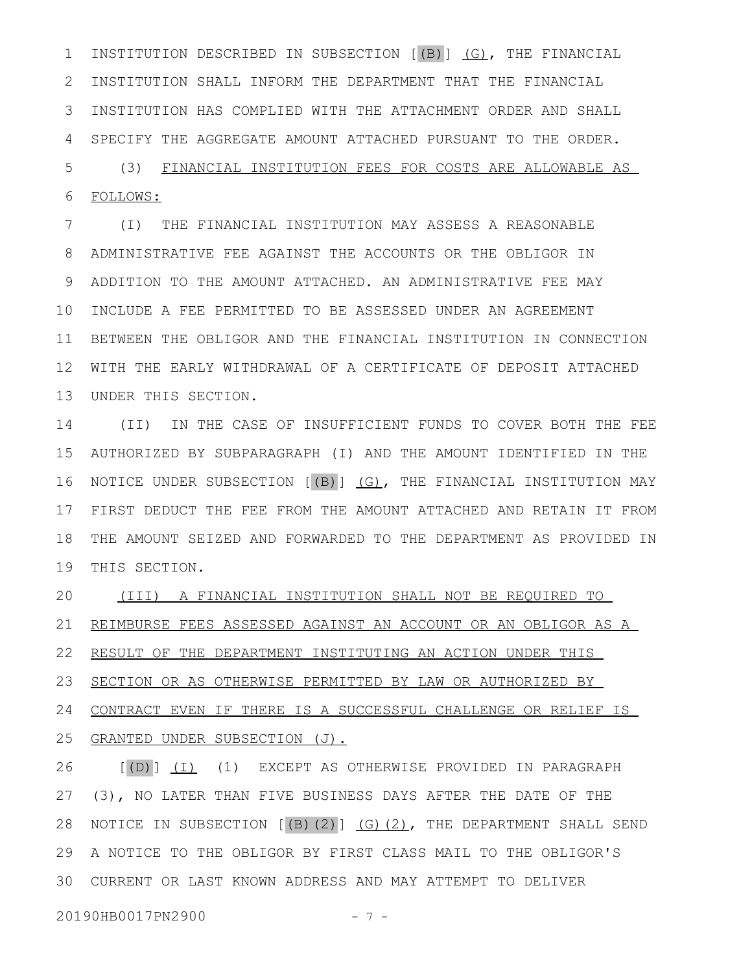INSTITUTION DESCRIBED IN SUBSECTION [(B)] (G), THE FINANCIAL INSTITUTION SHALL INFORM THE DEPARTMENT THAT THE FINANCIAL INSTITUTION HAS COMPLIED WITH THE ATTACHMENT ORDER AND SHALL 3 SPECIFY THE AGGREGATE AMOUNT ATTACHED PURSUANT TO THE ORDER. 1 2 4

(3) FINANCIAL INSTITUTION FEES FOR COSTS ARE ALLOWABLE AS FOLLOWS: 5 6

(I) THE FINANCIAL INSTITUTION MAY ASSESS A REASONABLE ADMINISTRATIVE FEE AGAINST THE ACCOUNTS OR THE OBLIGOR IN ADDITION TO THE AMOUNT ATTACHED. AN ADMINISTRATIVE FEE MAY 10 INCLUDE A FEE PERMITTED TO BE ASSESSED UNDER AN AGREEMENT 11 BETWEEN THE OBLIGOR AND THE FINANCIAL INSTITUTION IN CONNECTION WITH THE EARLY WITHDRAWAL OF A CERTIFICATE OF DEPOSIT ATTACHED UNDER THIS SECTION. 13 7 8 9 12

(II) IN THE CASE OF INSUFFICIENT FUNDS TO COVER BOTH THE FEE AUTHORIZED BY SUBPARAGRAPH (I) AND THE AMOUNT IDENTIFIED IN THE 15 16 NOTICE UNDER SUBSECTION [(B)] (G), THE FINANCIAL INSTITUTION MAY FIRST DEDUCT THE FEE FROM THE AMOUNT ATTACHED AND RETAIN IT FROM 17 THE AMOUNT SEIZED AND FORWARDED TO THE DEPARTMENT AS PROVIDED IN 18 19 THIS SECTION. 14

(III) A FINANCIAL INSTITUTION SHALL NOT BE REQUIRED TO REIMBURSE FEES ASSESSED AGAINST AN ACCOUNT OR AN OBLIGOR AS A RESULT OF THE DEPARTMENT INSTITUTING AN ACTION UNDER THIS 20 21 22

SECTION OR AS OTHERWISE PERMITTED BY LAW OR AUTHORIZED BY 23 24

CONTRACT EVEN IF THERE IS A SUCCESSFUL CHALLENGE OR RELIEF IS GRANTED UNDER SUBSECTION (J). 25

[(D)] (I) (1) EXCEPT AS OTHERWISE PROVIDED IN PARAGRAPH (3), NO LATER THAN FIVE BUSINESS DAYS AFTER THE DATE OF THE NOTICE IN SUBSECTION [(B)(2)] (G)(2), THE DEPARTMENT SHALL SEND A NOTICE TO THE OBLIGOR BY FIRST CLASS MAIL TO THE OBLIGOR'S 29 CURRENT OR LAST KNOWN ADDRESS AND MAY ATTEMPT TO DELIVER 3026 27 28

20190HB0017PN2900 - 7 -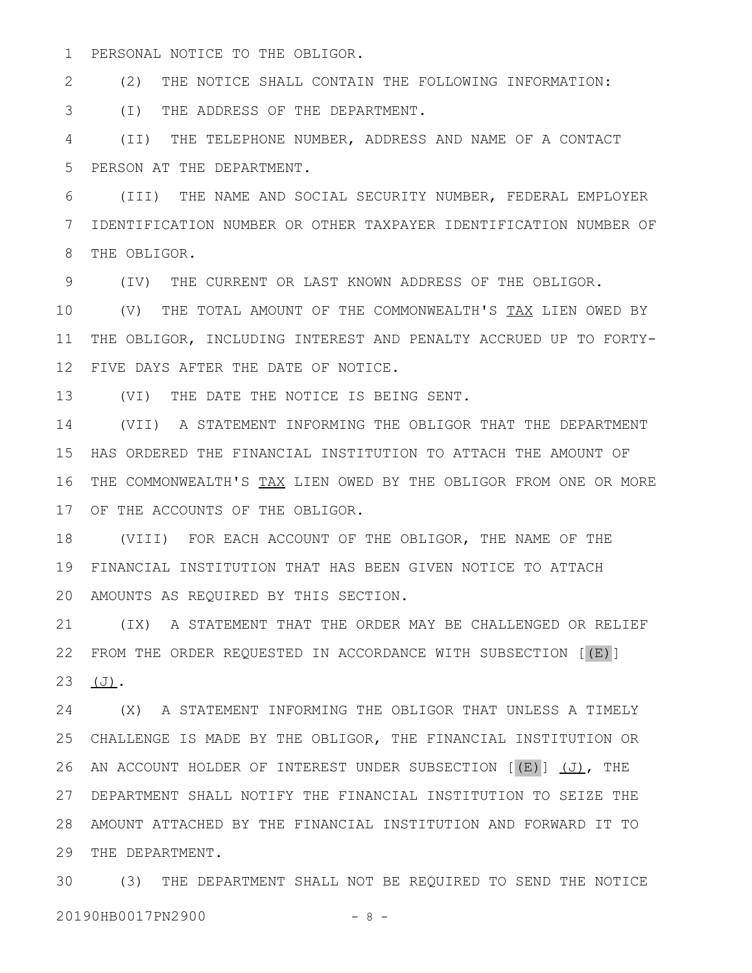PERSONAL NOTICE TO THE OBLIGOR. 1

(2) THE NOTICE SHALL CONTAIN THE FOLLOWING INFORMATION: 2

(I) THE ADDRESS OF THE DEPARTMENT. 3

(II) THE TELEPHONE NUMBER, ADDRESS AND NAME OF A CONTACT PERSON AT THE DEPARTMENT. 4 5

(III) THE NAME AND SOCIAL SECURITY NUMBER, FEDERAL EMPLOYER IDENTIFICATION NUMBER OR OTHER TAXPAYER IDENTIFICATION NUMBER OF THE OBLIGOR. 6 7 8

(IV) THE CURRENT OR LAST KNOWN ADDRESS OF THE OBLIGOR. 9

(V) THE TOTAL AMOUNT OF THE COMMONWEALTH'S TAX LIEN OWED BY THE OBLIGOR, INCLUDING INTEREST AND PENALTY ACCRUED UP TO FORTY-FIVE DAYS AFTER THE DATE OF NOTICE. 10 11 12

(VI) THE DATE THE NOTICE IS BEING SENT. 13

(VII) A STATEMENT INFORMING THE OBLIGOR THAT THE DEPARTMENT HAS ORDERED THE FINANCIAL INSTITUTION TO ATTACH THE AMOUNT OF 16 THE COMMONWEALTH'S TAX LIEN OWED BY THE OBLIGOR FROM ONE OR MORE 17 OF THE ACCOUNTS OF THE OBLIGOR. 14 15

(VIII) FOR EACH ACCOUNT OF THE OBLIGOR, THE NAME OF THE FINANCIAL INSTITUTION THAT HAS BEEN GIVEN NOTICE TO ATTACH 19 AMOUNTS AS REQUIRED BY THIS SECTION. 20 18

(IX) A STATEMENT THAT THE ORDER MAY BE CHALLENGED OR RELIEF FROM THE ORDER REQUESTED IN ACCORDANCE WITH SUBSECTION [(E)] (J). 21 22 23

(X) A STATEMENT INFORMING THE OBLIGOR THAT UNLESS A TIMELY CHALLENGE IS MADE BY THE OBLIGOR, THE FINANCIAL INSTITUTION OR 25 26 AN ACCOUNT HOLDER OF INTEREST UNDER SUBSECTION [(E)] (J), THE DEPARTMENT SHALL NOTIFY THE FINANCIAL INSTITUTION TO SEIZE THE 27 AMOUNT ATTACHED BY THE FINANCIAL INSTITUTION AND FORWARD IT TO 28 29 THE DEPARTMENT. 24

(3) THE DEPARTMENT SHALL NOT BE REQUIRED TO SEND THE NOTICE 3020190HB0017PN2900 - 8 -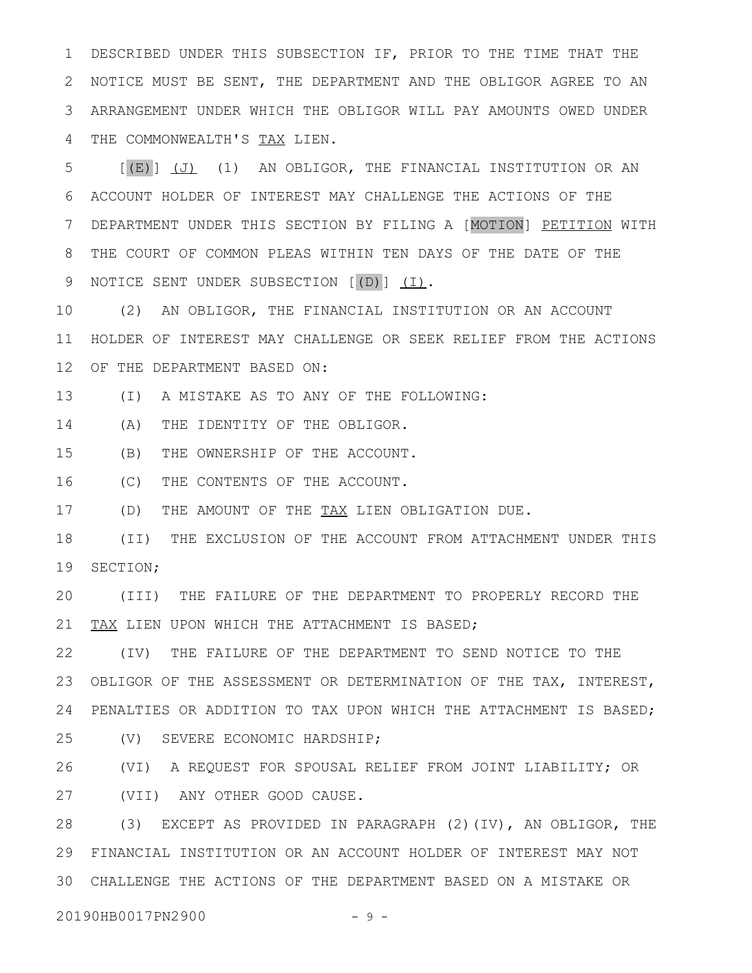DESCRIBED UNDER THIS SUBSECTION IF, PRIOR TO THE TIME THAT THE NOTICE MUST BE SENT, THE DEPARTMENT AND THE OBLIGOR AGREE TO AN ARRANGEMENT UNDER WHICH THE OBLIGOR WILL PAY AMOUNTS OWED UNDER THE COMMONWEALTH'S TAX LIEN. 1 2 3 4

 $[(E)]$   $(J)$   $(1)$  AN OBLIGOR, THE FINANCIAL INSTITUTION OR AN ACCOUNT HOLDER OF INTEREST MAY CHALLENGE THE ACTIONS OF THE DEPARTMENT UNDER THIS SECTION BY FILING A [MOTION] PETITION WITH THE COURT OF COMMON PLEAS WITHIN TEN DAYS OF THE DATE OF THE NOTICE SENT UNDER SUBSECTION [(D)] (I). 5 6 7 8 9

(2) AN OBLIGOR, THE FINANCIAL INSTITUTION OR AN ACCOUNT HOLDER OF INTEREST MAY CHALLENGE OR SEEK RELIEF FROM THE ACTIONS 12 OF THE DEPARTMENT BASED ON: 10 11

(I) A MISTAKE AS TO ANY OF THE FOLLOWING: 13

(A) THE IDENTITY OF THE OBLIGOR. 14

(B) THE OWNERSHIP OF THE ACCOUNT. 15

(C) THE CONTENTS OF THE ACCOUNT. 16

(D) THE AMOUNT OF THE TAX LIEN OBLIGATION DUE. 17

(II) THE EXCLUSION OF THE ACCOUNT FROM ATTACHMENT UNDER THIS SECTION; 18 19

(III) THE FAILURE OF THE DEPARTMENT TO PROPERLY RECORD THE TAX LIEN UPON WHICH THE ATTACHMENT IS BASED; 20 21

(IV) THE FAILURE OF THE DEPARTMENT TO SEND NOTICE TO THE OBLIGOR OF THE ASSESSMENT OR DETERMINATION OF THE TAX, INTEREST, PENALTIES OR ADDITION TO TAX UPON WHICH THE ATTACHMENT IS BASED; 24 22 23

(V) SEVERE ECONOMIC HARDSHIP; 25

(VI) A REQUEST FOR SPOUSAL RELIEF FROM JOINT LIABILITY; OR (VII) ANY OTHER GOOD CAUSE. 26 27

(3) EXCEPT AS PROVIDED IN PARAGRAPH (2)(IV), AN OBLIGOR, THE FINANCIAL INSTITUTION OR AN ACCOUNT HOLDER OF INTEREST MAY NOT 29 CHALLENGE THE ACTIONS OF THE DEPARTMENT BASED ON A MISTAKE OR 3028

20190HB0017PN2900 - 9 -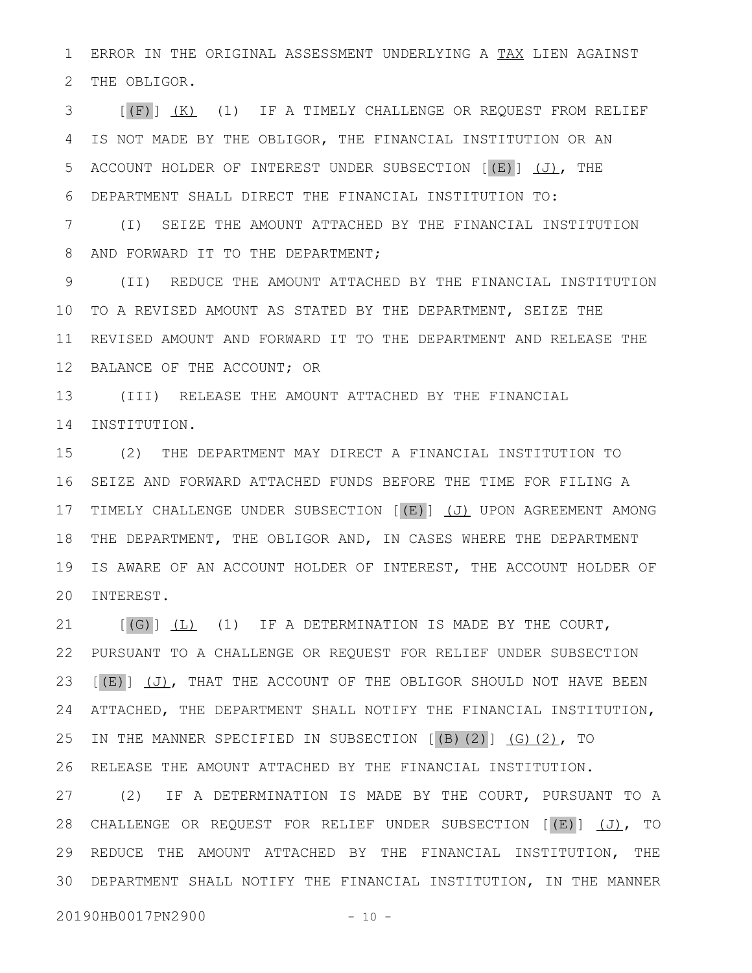ERROR IN THE ORIGINAL ASSESSMENT UNDERLYING A TAX LIEN AGAINST THE OBLIGOR. 1 2

[(F)] (K) (1) IF A TIMELY CHALLENGE OR REQUEST FROM RELIEF IS NOT MADE BY THE OBLIGOR, THE FINANCIAL INSTITUTION OR AN ACCOUNT HOLDER OF INTEREST UNDER SUBSECTION  $[(E)]$  (J), THE DEPARTMENT SHALL DIRECT THE FINANCIAL INSTITUTION TO: (I) SEIZE THE AMOUNT ATTACHED BY THE FINANCIAL INSTITUTION 3 4 5 6 7

AND FORWARD IT TO THE DEPARTMENT; 8

(II) REDUCE THE AMOUNT ATTACHED BY THE FINANCIAL INSTITUTION 10 TO A REVISED AMOUNT AS STATED BY THE DEPARTMENT, SEIZE THE 11 REVISED AMOUNT AND FORWARD IT TO THE DEPARTMENT AND RELEASE THE 12 BALANCE OF THE ACCOUNT; OR 9

(III) RELEASE THE AMOUNT ATTACHED BY THE FINANCIAL 13 INSTITUTION. 14

(2) THE DEPARTMENT MAY DIRECT A FINANCIAL INSTITUTION TO 16 SEIZE AND FORWARD ATTACHED FUNDS BEFORE THE TIME FOR FILING A 17 TIMELY CHALLENGE UNDER SUBSECTION [(E)] (J) UPON AGREEMENT AMONG 18 THE DEPARTMENT, THE OBLIGOR AND, IN CASES WHERE THE DEPARTMENT IS AWARE OF AN ACCOUNT HOLDER OF INTEREST, THE ACCOUNT HOLDER OF 20 INTEREST. 15 19

 $[(G)]$   $(L)$   $(1)$  IF A DETERMINATION IS MADE BY THE COURT, PURSUANT TO A CHALLENGE OR REQUEST FOR RELIEF UNDER SUBSECTION  $[(E)]$   $(J)$ , THAT THE ACCOUNT OF THE OBLIGOR SHOULD NOT HAVE BEEN ATTACHED, THE DEPARTMENT SHALL NOTIFY THE FINANCIAL INSTITUTION, IN THE MANNER SPECIFIED IN SUBSECTION  $[(B)(2)]$   $(G)(2)$ , TO 26 RELEASE THE AMOUNT ATTACHED BY THE FINANCIAL INSTITUTION. 21 22 23 24 25

(2) IF A DETERMINATION IS MADE BY THE COURT, PURSUANT TO A 28 CHALLENGE OR REQUEST FOR RELIEF UNDER SUBSECTION [(E)] (J), TO 29 REDUCE THE AMOUNT ATTACHED BY THE FINANCIAL INSTITUTION, THE DEPARTMENT SHALL NOTIFY THE FINANCIAL INSTITUTION, IN THE MANNER 3027

20190HB0017PN2900 - 10 -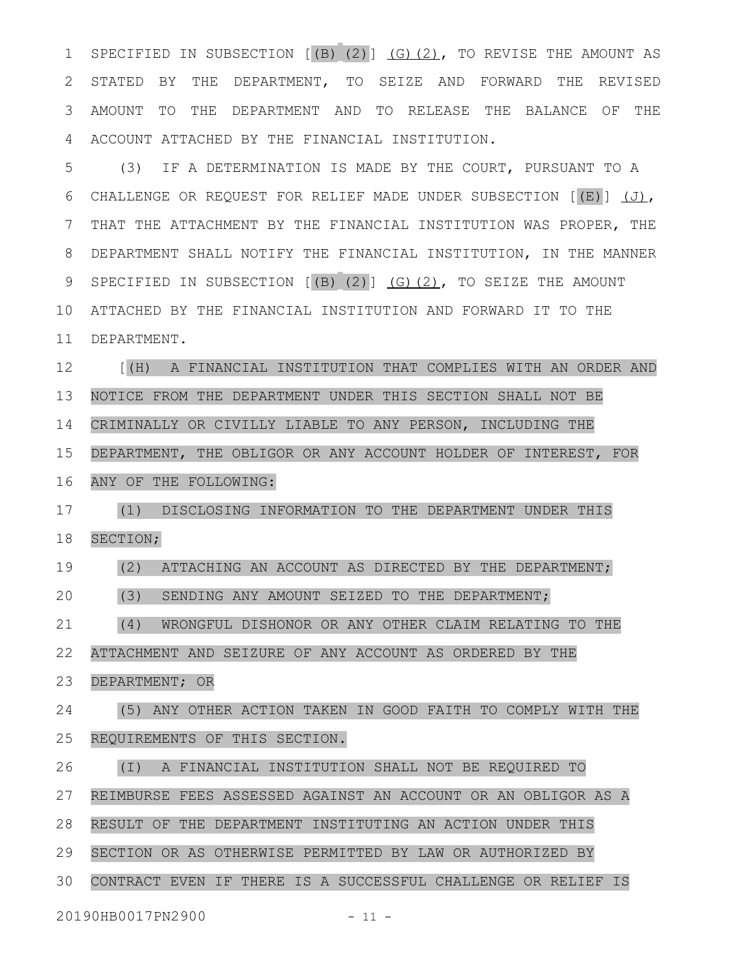SPECIFIED IN SUBSECTION  $[(B) (2)] (G) (2)$ , TO REVISE THE AMOUNT AS STATED BY THE DEPARTMENT, TO SEIZE AND FORWARD THE REVISED AMOUNT TO THE DEPARTMENT AND TO RELEASE THE BALANCE OF THE ACCOUNT ATTACHED BY THE FINANCIAL INSTITUTION. 1 2 3 4

(3) IF A DETERMINATION IS MADE BY THE COURT, PURSUANT TO A CHALLENGE OR REQUEST FOR RELIEF MADE UNDER SUBSECTION [(E)] (J), THAT THE ATTACHMENT BY THE FINANCIAL INSTITUTION WAS PROPER, THE DEPARTMENT SHALL NOTIFY THE FINANCIAL INSTITUTION, IN THE MANNER SPECIFIED IN SUBSECTION  $[(B) (2)] (G) (2)$ , TO SEIZE THE AMOUNT ATTACHED BY THE FINANCIAL INSTITUTION AND FORWARD IT TO THE DEPARTMENT. 5 6 7 8 9 10 11

[(H) A FINANCIAL INSTITUTION THAT COMPLIES WITH AN ORDER AND NOTICE FROM THE DEPARTMENT UNDER THIS SECTION SHALL NOT BE CRIMINALLY OR CIVILLY LIABLE TO ANY PERSON, INCLUDING THE DEPARTMENT, THE OBLIGOR OR ANY ACCOUNT HOLDER OF INTEREST, FOR ANY OF THE FOLLOWING: 12 13 14 15 16

(1) DISCLOSING INFORMATION TO THE DEPARTMENT UNDER THIS SECTION; 17 18

(2) ATTACHING AN ACCOUNT AS DIRECTED BY THE DEPARTMENT; 19

(3) SENDING ANY AMOUNT SEIZED TO THE DEPARTMENT; 20

(4) WRONGFUL DISHONOR OR ANY OTHER CLAIM RELATING TO THE 21

ATTACHMENT AND SEIZURE OF ANY ACCOUNT AS ORDERED BY THE 22

DEPARTMENT; OR 23

(5) ANY OTHER ACTION TAKEN IN GOOD FAITH TO COMPLY WITH THE REQUIREMENTS OF THIS SECTION. 24 25

(I) A FINANCIAL INSTITUTION SHALL NOT BE REQUIRED TO 26

REIMBURSE FEES ASSESSED AGAINST AN ACCOUNT OR AN OBLIGOR AS A 27

RESULT OF THE DEPARTMENT INSTITUTING AN ACTION UNDER THIS 28

SECTION OR AS OTHERWISE PERMITTED BY LAW OR AUTHORIZED BY 29

CONTRACT EVEN IF THERE IS A SUCCESSFUL CHALLENGE OR RELIEF IS 30

20190HB0017PN2900 - 11 -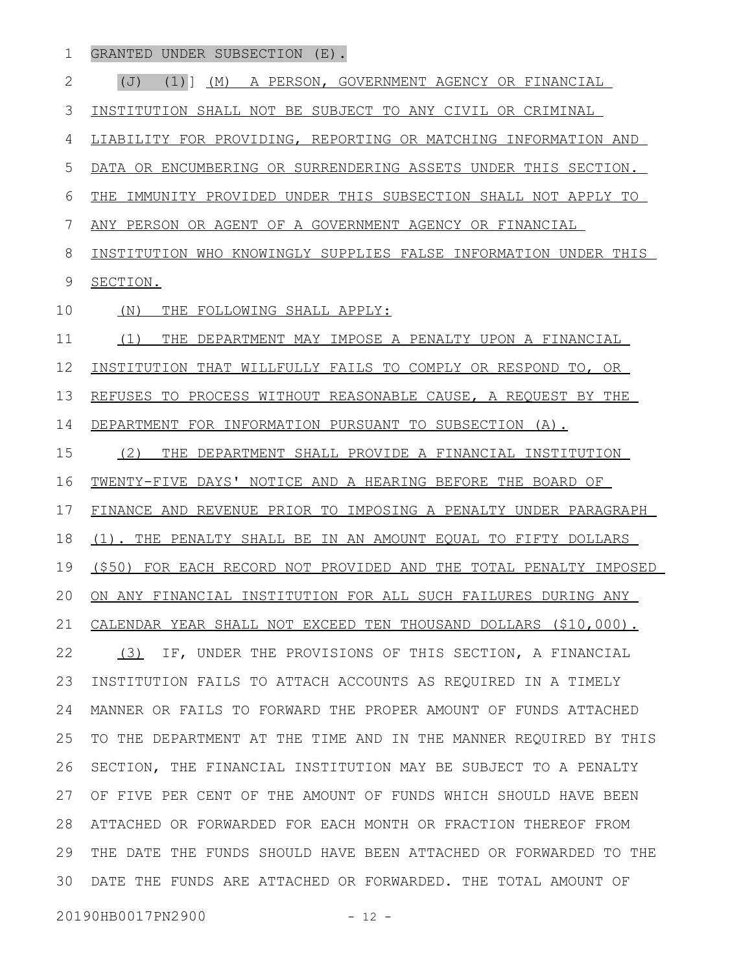GRANTED UNDER SUBSECTION (E). 1

(J) (1)] (M) A PERSON, GOVERNMENT AGENCY OR FINANCIAL INSTITUTION SHALL NOT BE SUBJECT TO ANY CIVIL OR CRIMINAL LIABILITY FOR PROVIDING, REPORTING OR MATCHING INFORMATION AND DATA OR ENCUMBERING OR SURRENDERING ASSETS UNDER THIS SECTION. THE IMMUNITY PROVIDED UNDER THIS SUBSECTION SHALL NOT APPLY TO ANY PERSON OR AGENT OF A GOVERNMENT AGENCY OR FINANCIAL INSTITUTION WHO KNOWINGLY SUPPLIES FALSE INFORMATION UNDER THIS SECTION. (N) THE FOLLOWING SHALL APPLY: (1) THE DEPARTMENT MAY IMPOSE A PENALTY UPON A FINANCIAL INSTITUTION THAT WILLFULLY FAILS TO COMPLY OR RESPOND TO, OR REFUSES TO PROCESS WITHOUT REASONABLE CAUSE, A REQUEST BY THE DEPARTMENT FOR INFORMATION PURSUANT TO SUBSECTION (A). (2) THE DEPARTMENT SHALL PROVIDE A FINANCIAL INSTITUTION TWENTY-FIVE DAYS' NOTICE AND A HEARING BEFORE THE BOARD OF FINANCE AND REVENUE PRIOR TO IMPOSING A PENALTY UNDER PARAGRAPH (1). THE PENALTY SHALL BE IN AN AMOUNT EQUAL TO FIFTY DOLLARS (\$50) FOR EACH RECORD NOT PROVIDED AND THE TOTAL PENALTY IMPOSED ON ANY FINANCIAL INSTITUTION FOR ALL SUCH FAILURES DURING ANY CALENDAR YEAR SHALL NOT EXCEED TEN THOUSAND DOLLARS (\$10,000). (3) IF, UNDER THE PROVISIONS OF THIS SECTION, A FINANCIAL INSTITUTION FAILS TO ATTACH ACCOUNTS AS REQUIRED IN A TIMELY MANNER OR FAILS TO FORWARD THE PROPER AMOUNT OF FUNDS ATTACHED TO THE DEPARTMENT AT THE TIME AND IN THE MANNER REQUIRED BY THIS SECTION, THE FINANCIAL INSTITUTION MAY BE SUBJECT TO A PENALTY OF FIVE PER CENT OF THE AMOUNT OF FUNDS WHICH SHOULD HAVE BEEN ATTACHED OR FORWARDED FOR EACH MONTH OR FRACTION THEREOF FROM THE DATE THE FUNDS SHOULD HAVE BEEN ATTACHED OR FORWARDED TO THE DATE THE FUNDS ARE ATTACHED OR FORWARDED. THE TOTAL AMOUNT OF 2 3 4 5 6 7 8 9 10 11 12 13 14 15 16 17 18 19 20 21 22 23 24 25 26 27 28 29 30

20190HB0017PN2900 - 12 -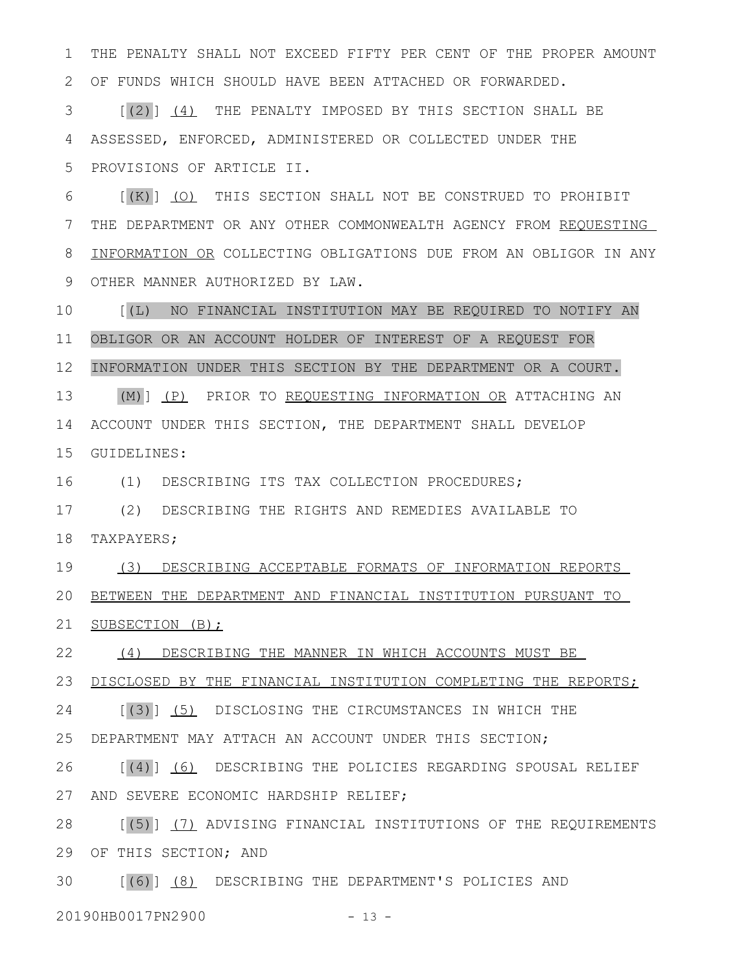THE PENALTY SHALL NOT EXCEED FIFTY PER CENT OF THE PROPER AMOUNT OF FUNDS WHICH SHOULD HAVE BEEN ATTACHED OR FORWARDED. 1 2

[(2)] (4) THE PENALTY IMPOSED BY THIS SECTION SHALL BE ASSESSED, ENFORCED, ADMINISTERED OR COLLECTED UNDER THE PROVISIONS OF ARTICLE II. 3 4 5

[(K)] (O) THIS SECTION SHALL NOT BE CONSTRUED TO PROHIBIT THE DEPARTMENT OR ANY OTHER COMMONWEALTH AGENCY FROM REQUESTING INFORMATION OR COLLECTING OBLIGATIONS DUE FROM AN OBLIGOR IN ANY OTHER MANNER AUTHORIZED BY LAW. 6 7 8 9

[(L) NO FINANCIAL INSTITUTION MAY BE REQUIRED TO NOTIFY AN OBLIGOR OR AN ACCOUNT HOLDER OF INTEREST OF A REQUEST FOR INFORMATION UNDER THIS SECTION BY THE DEPARTMENT OR A COURT. (M)] (P) PRIOR TO REQUESTING INFORMATION OR ATTACHING AN 14 ACCOUNT UNDER THIS SECTION, THE DEPARTMENT SHALL DEVELOP 15 GUIDELINES: 10 11 12 13

(1) DESCRIBING ITS TAX COLLECTION PROCEDURES; 16

(2) DESCRIBING THE RIGHTS AND REMEDIES AVAILABLE TO TAXPAYERS; 17 18

(3) DESCRIBING ACCEPTABLE FORMATS OF INFORMATION REPORTS 19

BETWEEN THE DEPARTMENT AND FINANCIAL INSTITUTION PURSUANT TO 20

21 SUBSECTION (B);

(4) DESCRIBING THE MANNER IN WHICH ACCOUNTS MUST BE 22

DISCLOSED BY THE FINANCIAL INSTITUTION COMPLETING THE REPORTS; 23

[(3)] (5) DISCLOSING THE CIRCUMSTANCES IN WHICH THE 24

DEPARTMENT MAY ATTACH AN ACCOUNT UNDER THIS SECTION; 25

[(4)] (6) DESCRIBING THE POLICIES REGARDING SPOUSAL RELIEF AND SEVERE ECONOMIC HARDSHIP RELIEF; 26 27

[(5)] (7) ADVISING FINANCIAL INSTITUTIONS OF THE REQUIREMENTS 29 OF THIS SECTION; AND 28

[(6)] (8) DESCRIBING THE DEPARTMENT'S POLICIES AND 30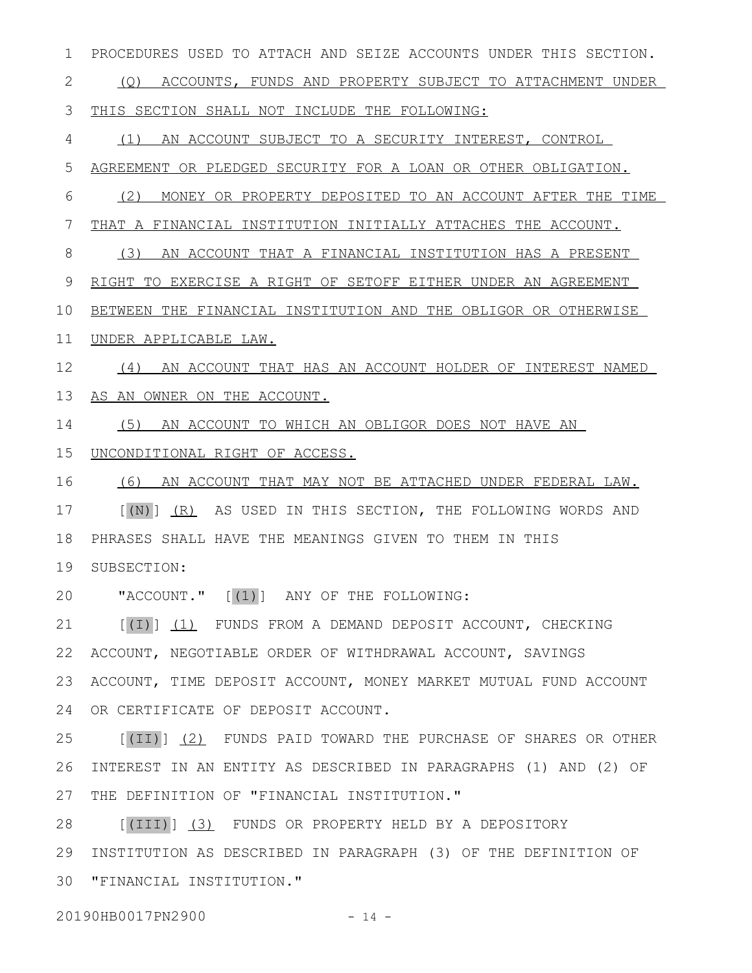PROCEDURES USED TO ATTACH AND SEIZE ACCOUNTS UNDER THIS SECTION. 1

(Q) ACCOUNTS, FUNDS AND PROPERTY SUBJECT TO ATTACHMENT UNDER 2

 THIS SECTION SHALL NOT INCLUDE THE FOLLOWING: 3

(1) AN ACCOUNT SUBJECT TO A SECURITY INTEREST, CONTROL 4

AGREEMENT OR PLEDGED SECURITY FOR A LOAN OR OTHER OBLIGATION. 5

(2) MONEY OR PROPERTY DEPOSITED TO AN ACCOUNT AFTER THE TIME 6

THAT A FINANCIAL INSTITUTION INITIALLY ATTACHES THE ACCOUNT. 7

(3) AN ACCOUNT THAT A FINANCIAL INSTITUTION HAS A PRESENT 8

RIGHT TO EXERCISE A RIGHT OF SETOFF EITHER UNDER AN AGREEMENT 9

BETWEEN THE FINANCIAL INSTITUTION AND THE OBLIGOR OR OTHERWISE 10

UNDER APPLICABLE LAW. 11

(4) AN ACCOUNT THAT HAS AN ACCOUNT HOLDER OF INTEREST NAMED 12

AS AN OWNER ON THE ACCOUNT. 13

(5) AN ACCOUNT TO WHICH AN OBLIGOR DOES NOT HAVE AN 14

UNCONDITIONAL RIGHT OF ACCESS. 15

(6) AN ACCOUNT THAT MAY NOT BE ATTACHED UNDER FEDERAL LAW. 16

[(N)] (R) AS USED IN THIS SECTION, THE FOLLOWING WORDS AND PHRASES SHALL HAVE THE MEANINGS GIVEN TO THEM IN THIS 17 18

SUBSECTION: 19

"ACCOUNT." [(1)] ANY OF THE FOLLOWING: 20

[(I)] (1) FUNDS FROM A DEMAND DEPOSIT ACCOUNT, CHECKING ACCOUNT, NEGOTIABLE ORDER OF WITHDRAWAL ACCOUNT, SAVINGS ACCOUNT, TIME DEPOSIT ACCOUNT, MONEY MARKET MUTUAL FUND ACCOUNT OR CERTIFICATE OF DEPOSIT ACCOUNT. 21 22 23 24

[(II)] (2) FUNDS PAID TOWARD THE PURCHASE OF SHARES OR OTHER INTEREST IN AN ENTITY AS DESCRIBED IN PARAGRAPHS (1) AND (2) OF THE DEFINITION OF "FINANCIAL INSTITUTION." 25 26 27

[(III)] (3) FUNDS OR PROPERTY HELD BY A DEPOSITORY INSTITUTION AS DESCRIBED IN PARAGRAPH (3) OF THE DEFINITION OF "FINANCIAL INSTITUTION." 3028 29

20190HB0017PN2900 - 14 -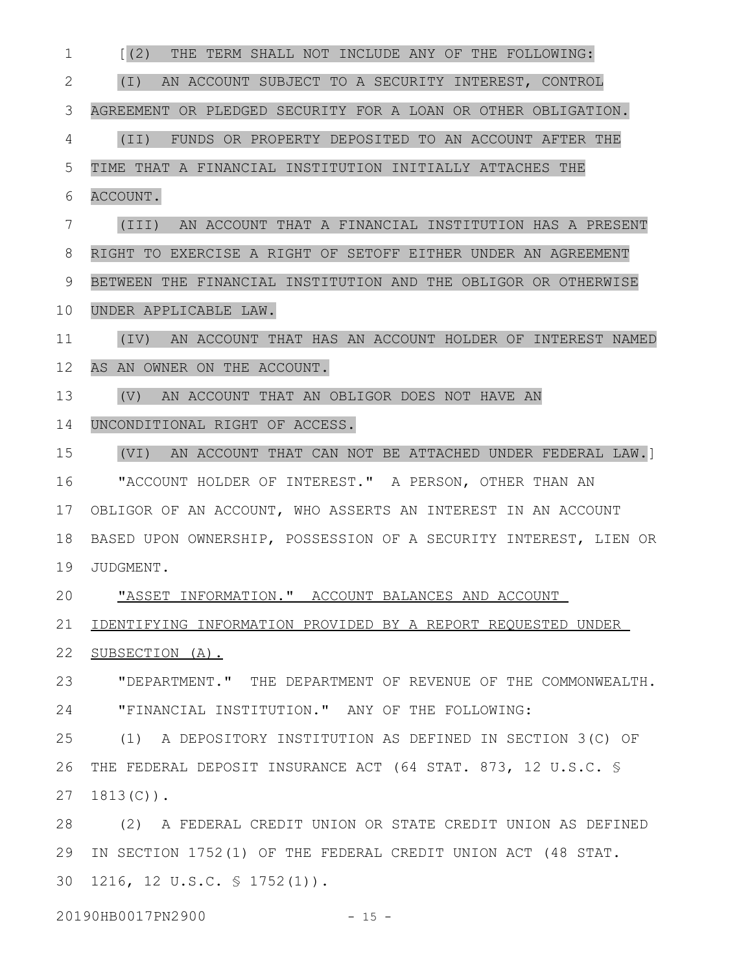| 1  | [(2)<br>THE TERM SHALL NOT INCLUDE ANY OF THE FOLLOWING:         |
|----|------------------------------------------------------------------|
| 2  | AN ACCOUNT SUBJECT TO A SECURITY INTEREST, CONTROL<br>(I)        |
| 3  | AGREEMENT OR PLEDGED SECURITY FOR A LOAN OR OTHER OBLIGATION.    |
| 4  | (TI)<br>FUNDS OR PROPERTY DEPOSITED TO AN ACCOUNT AFTER THE      |
| 5  | TIME THAT A FINANCIAL INSTITUTION INITIALLY ATTACHES THE         |
| 6  | ACCOUNT.                                                         |
| 7  | (III)<br>AN ACCOUNT THAT A FINANCIAL INSTITUTION HAS A PRESENT   |
| 8  | RIGHT TO EXERCISE A RIGHT OF SETOFF EITHER UNDER AN AGREEMENT    |
| 9  | BETWEEN THE FINANCIAL INSTITUTION AND THE OBLIGOR OR OTHERWISE   |
| 10 | UNDER APPLICABLE LAW.                                            |
| 11 | (IV) AN ACCOUNT THAT HAS AN ACCOUNT HOLDER OF INTEREST NAMED     |
| 12 | AS AN OWNER ON THE ACCOUNT.                                      |
| 13 | AN ACCOUNT THAT AN OBLIGOR DOES NOT HAVE AN<br>(V)               |
| 14 | UNCONDITIONAL RIGHT OF ACCESS.                                   |
| 15 | (VI) AN ACCOUNT THAT CAN NOT BE ATTACHED UNDER FEDERAL LAW.]     |
| 16 | "ACCOUNT HOLDER OF INTEREST." A PERSON, OTHER THAN AN            |
| 17 | OBLIGOR OF AN ACCOUNT, WHO ASSERTS AN INTEREST IN AN ACCOUNT     |
| 18 | BASED UPON OWNERSHIP, POSSESSION OF A SECURITY INTEREST, LIEN OR |
| 19 | JUDGMENT.                                                        |
| 20 | "ASSET INFORMATION." ACCOUNT BALANCES AND ACCOUNT                |
| 21 | IDENTIFYING INFORMATION PROVIDED BY A REPORT REQUESTED UNDER     |
| 22 | SUBSECTION (A).                                                  |
| 23 | "DEPARTMENT." THE DEPARTMENT OF REVENUE OF THE COMMONWEALTH.     |
| 24 | "FINANCIAL INSTITUTION." ANY OF THE FOLLOWING:                   |
| 25 | (1) A DEPOSITORY INSTITUTION AS DEFINED IN SECTION 3(C) OF       |
| 26 | THE FEDERAL DEPOSIT INSURANCE ACT (64 STAT. 873, 12 U.S.C. \$    |
| 27 | $1813(C)$ .                                                      |
| 28 | (2) A FEDERAL CREDIT UNION OR STATE CREDIT UNION AS DEFINED      |
| 29 | IN SECTION 1752(1) OF THE FEDERAL CREDIT UNION ACT (48 STAT.     |
| 30 | 1216, 12 U.S.C. $\frac{1}{5}$ 1752(1)).                          |
|    |                                                                  |

20190HB0017PN2900 - 15 -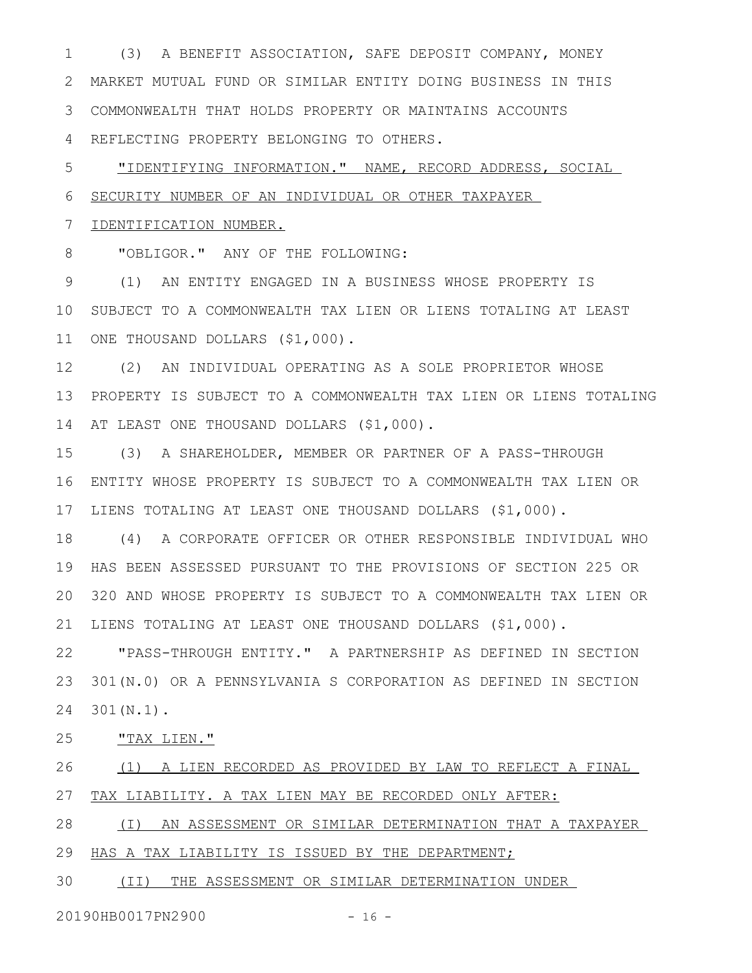(3) A BENEFIT ASSOCIATION, SAFE DEPOSIT COMPANY, MONEY MARKET MUTUAL FUND OR SIMILAR ENTITY DOING BUSINESS IN THIS COMMONWEALTH THAT HOLDS PROPERTY OR MAINTAINS ACCOUNTS REFLECTING PROPERTY BELONGING TO OTHERS. 1 2 3 4

"IDENTIFYING INFORMATION." NAME, RECORD ADDRESS, SOCIAL SECURITY NUMBER OF AN INDIVIDUAL OR OTHER TAXPAYER 5 6

## IDENTIFICATION NUMBER. 7

"OBLIGOR." ANY OF THE FOLLOWING: 8

(1) AN ENTITY ENGAGED IN A BUSINESS WHOSE PROPERTY IS 10 SUBJECT TO A COMMONWEALTH TAX LIEN OR LIENS TOTALING AT LEAST 11 ONE THOUSAND DOLLARS (\$1,000). 9

(2) AN INDIVIDUAL OPERATING AS A SOLE PROPRIETOR WHOSE PROPERTY IS SUBJECT TO A COMMONWEALTH TAX LIEN OR LIENS TOTALING 14 AT LEAST ONE THOUSAND DOLLARS (\$1,000). 12 13

(3) A SHAREHOLDER, MEMBER OR PARTNER OF A PASS-THROUGH ENTITY WHOSE PROPERTY IS SUBJECT TO A COMMONWEALTH TAX LIEN OR 17 LIENS TOTALING AT LEAST ONE THOUSAND DOLLARS (\$1,000). 15 16

(4) A CORPORATE OFFICER OR OTHER RESPONSIBLE INDIVIDUAL WHO HAS BEEN ASSESSED PURSUANT TO THE PROVISIONS OF SECTION 225 OR 320 AND WHOSE PROPERTY IS SUBJECT TO A COMMONWEALTH TAX LIEN OR LIENS TOTALING AT LEAST ONE THOUSAND DOLLARS (\$1,000). 21 18 19 20

"PASS-THROUGH ENTITY." A PARTNERSHIP AS DEFINED IN SECTION 301(N.0) OR A PENNSYLVANIA S CORPORATION AS DEFINED IN SECTION 301(N.1). 22 23 24

"TAX LIEN." 25

(1) A LIEN RECORDED AS PROVIDED BY LAW TO REFLECT A FINAL TAX LIABILITY. A TAX LIEN MAY BE RECORDED ONLY AFTER: 26 27

(I) AN ASSESSMENT OR SIMILAR DETERMINATION THAT A TAXPAYER 28

29 HAS A TAX LIABILITY IS ISSUED BY THE DEPARTMENT;

(II) THE ASSESSMENT OR SIMILAR DETERMINATION UNDER 30

20190HB0017PN2900 - 16 -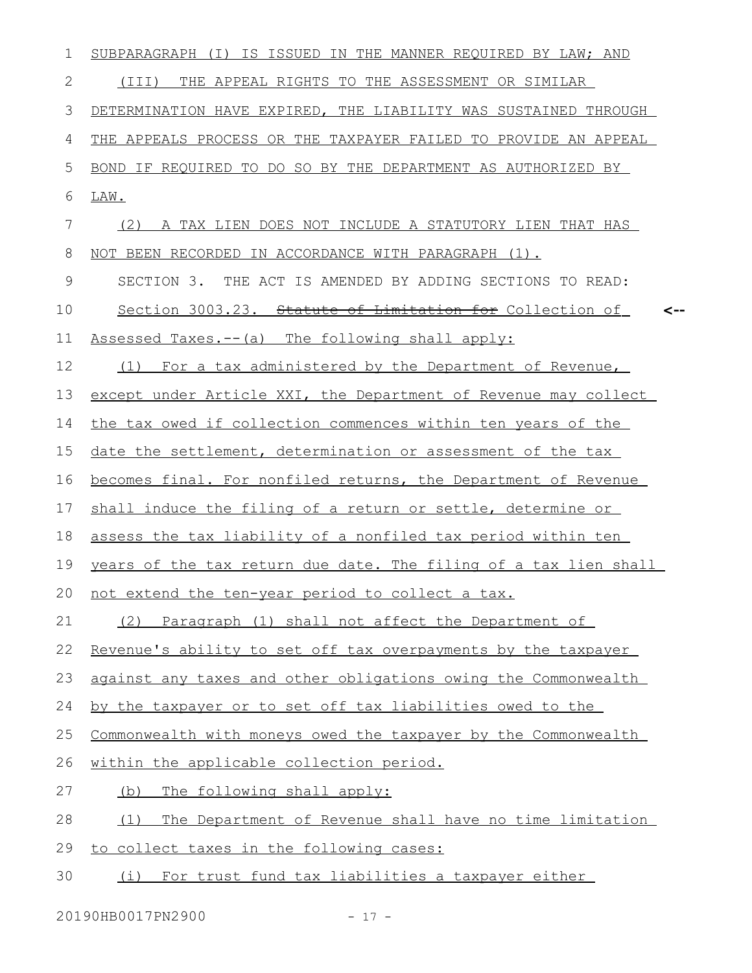| 1             | SUBPARAGRAPH (I) IS ISSUED IN THE MANNER REQUIRED BY LAW; AND    |
|---------------|------------------------------------------------------------------|
| 2             | THE APPEAL RIGHTS TO THE ASSESSMENT OR SIMILAR<br>(III)          |
| 3             | DETERMINATION HAVE EXPIRED, THE LIABILITY WAS SUSTAINED THROUGH  |
| 4             | THE APPEALS PROCESS OR THE TAXPAYER FAILED TO PROVIDE AN APPEAL  |
| 5             | BOND IF REQUIRED TO DO SO BY THE DEPARTMENT AS AUTHORIZED BY     |
| 6             | LAW.                                                             |
| 7             | A TAX LIEN DOES NOT INCLUDE A STATUTORY LIEN THAT HAS<br>(2)     |
| 8             | NOT BEEN RECORDED IN ACCORDANCE WITH PARAGRAPH (1).              |
| $\mathcal{G}$ | SECTION 3. THE ACT IS AMENDED BY ADDING SECTIONS TO READ:        |
| 10            | Section 3003.23. Statute of Limitation for Collection of<br><--  |
| 11            | Assessed Taxes.-- (a) The following shall apply:                 |
| 12            | For a tax administered by the Department of Revenue,<br>(1)      |
| 13            | except under Article XXI, the Department of Revenue may collect  |
| 14            | the tax owed if collection commences within ten years of the     |
| 15            | date the settlement, determination or assessment of the tax      |
| 16            | becomes final. For nonfiled returns, the Department of Revenue   |
| 17            | shall induce the filing of a return or settle, determine or      |
| 18            | assess the tax liability of a nonfiled tax period within ten     |
| 19            | years of the tax return due date. The filing of a tax lien shall |
| 20            | not extend the ten-year period to collect a tax.                 |
| 21            | (2) Paragraph (1) shall not affect the Department of             |
| 22            | Revenue's ability to set off tax overpayments by the taxpayer    |
| 23            | against any taxes and other obligations owing the Commonwealth   |
| 24            | by the taxpayer or to set off tax liabilities owed to the        |
| 25            | Commonwealth with moneys owed the taxpayer by the Commonwealth   |
| 26            | within the applicable collection period.                         |
| 27            | The following shall apply:<br>(b)                                |
| 28            | The Department of Revenue shall have no time limitation<br>(1)   |
| 29            | to collect taxes in the following cases:                         |
| 30            | (i) For trust fund tax liabilities a taxpayer either             |

20190HB0017PN2900 - 17 -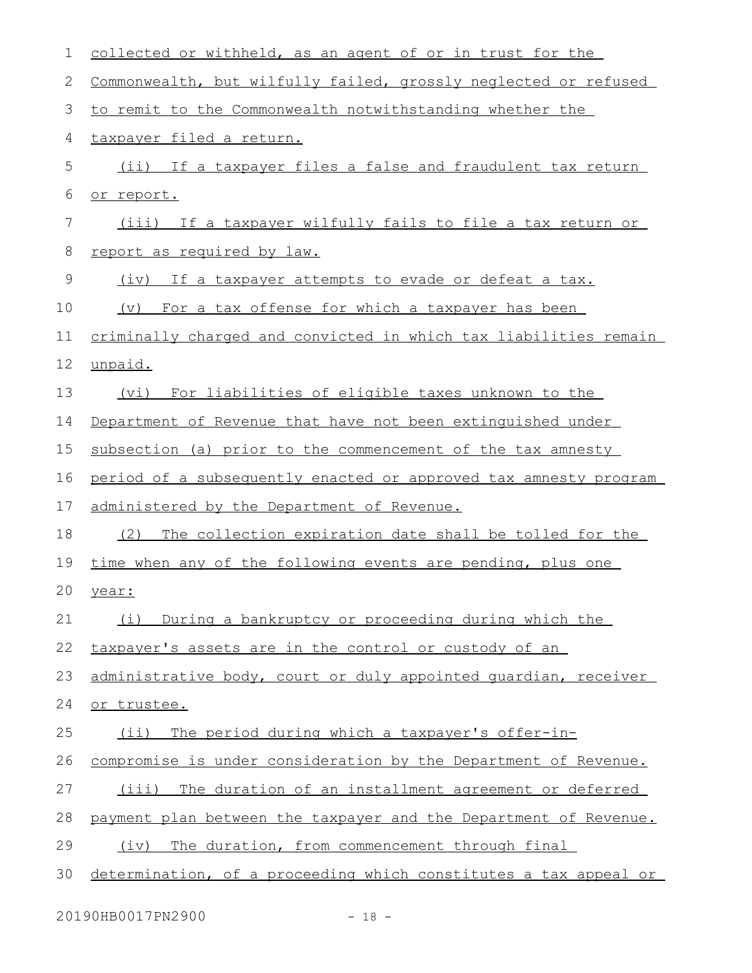| 1  | collected or withheld, as an agent of or in trust for the            |
|----|----------------------------------------------------------------------|
| 2  | Commonwealth, but wilfully failed, grossly neglected or refused      |
| 3  | to remit to the Commonwealth notwithstanding whether the             |
| 4  | taxpayer filed a return.                                             |
| 5  | (ii) If a taxpayer files a false and fraudulent tax return           |
| 6  | or report.                                                           |
| 7  | (iii) If a taxpayer wilfully fails to file a tax return or           |
| 8  | report as required by law.                                           |
| 9  | (iv) If a taxpayer attempts to evade or defeat a tax.                |
| 10 | For a tax offense for which a taxpayer has been<br>$(\triangledown)$ |
| 11 | criminally charged and convicted in which tax liabilities remain     |
| 12 | unpaid.                                                              |
| 13 | (vi) For liabilities of eligible taxes unknown to the                |
| 14 | Department of Revenue that have not been extinguished under          |
| 15 | subsection (a) prior to the commencement of the tax amnesty          |
| 16 | period of a subsequently enacted or approved tax amnesty program     |
| 17 | administered by the Department of Revenue.                           |
| 18 | (2) The collection expiration date shall be tolled for the           |
| 19 | time when any of the following events are pending, plus one          |
| 20 | vear:                                                                |
| 21 | During a bankruptcy or proceeding during which the<br>(i)            |
| 22 | taxpayer's assets are in the control or custody of an                |
| 23 | administrative body, court or duly appointed quardian, receiver      |
| 24 | or trustee.                                                          |
| 25 | The period during which a taxpayer's offer-in-<br>$(i$ i)            |
| 26 | compromise is under consideration by the Department of Revenue.      |
| 27 | The duration of an installment agreement or deferred<br>(iii)        |
| 28 | payment plan between the taxpayer and the Department of Revenue.     |
| 29 | The duration, from commencement through final<br>(iv)                |
| 30 | determination, of a proceeding which constitutes a tax appeal or     |

20190HB0017PN2900 - 18 -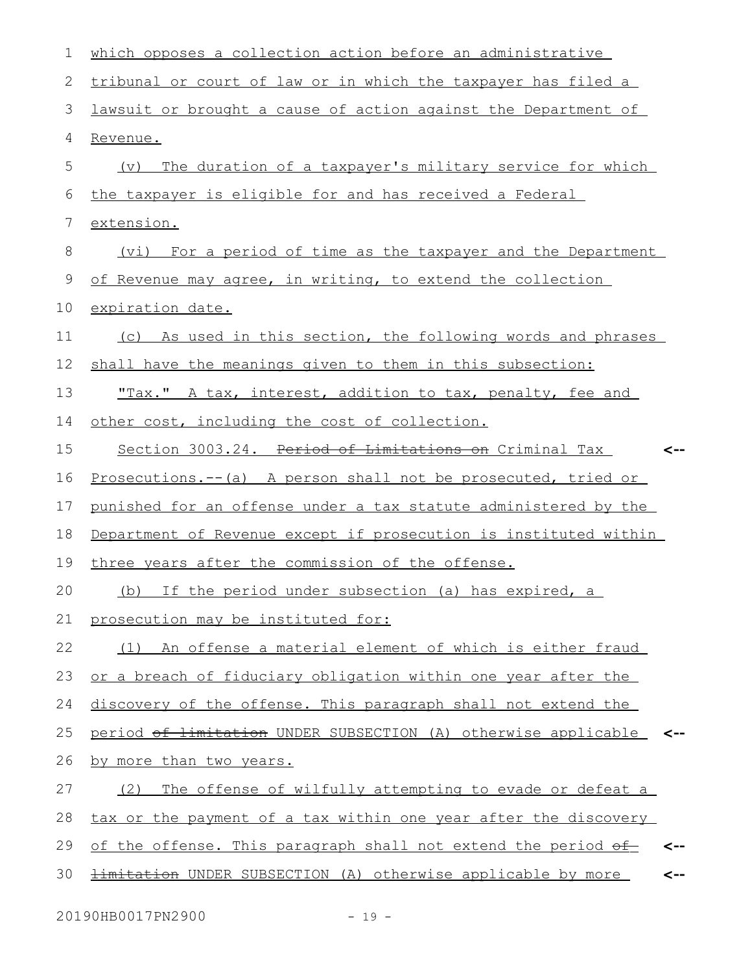| 1  | which opposes a collection action before an administrative                 |
|----|----------------------------------------------------------------------------|
| 2  | tribunal or court of law or in which the taxpayer has filed a              |
| 3  | lawsuit or brought a cause of action against the Department of             |
| 4  | Revenue.                                                                   |
| 5  | The duration of a taxpayer's military service for which<br>$(\nabla)$      |
| 6  | the taxpayer is eligible for and has received a Federal                    |
| 7  | extension.                                                                 |
| 8  | (vi) For a period of time as the taxpayer and the Department               |
| 9  | of Revenue may agree, in writing, to extend the collection                 |
| 10 | expiration date.                                                           |
| 11 | (c) As used in this section, the following words and phrases               |
| 12 | shall have the meanings given to them in this subsection:                  |
| 13 | <u>"Tax." A tax, interest, addition to tax, penalty, fee and</u>           |
| 14 | other cost, including the cost of collection.                              |
| 15 | Section 3003.24. Period of Limitations on Criminal Tax<br><--              |
| 16 | <u>Prosecutions.--(a) A person shall not be prosecuted, tried or</u>       |
| 17 | punished for an offense under a tax statute administered by the            |
| 18 | Department of Revenue except if prosecution is instituted within           |
| 19 | three years after the commission of the offense.                           |
| 20 | (b) If the period under subsection (a) has expired, a                      |
| 21 | prosecution may be instituted for:                                         |
| 22 | (1) An offense a material element of which is either fraud                 |
| 23 | or a breach of fiduciary obligation within one year after the              |
| 24 | discovery of the offense. This paragraph shall not extend the              |
| 25 | period of limitation UNDER SUBSECTION (A) otherwise applicable             |
| 26 | by more than two years.                                                    |
| 27 | The offense of wilfully attempting to evade or defeat a<br>(2)             |
| 28 | tax or the payment of a tax within one year after the discovery            |
| 29 | of the offense. This paragraph shall not extend the period of<br><--       |
| 30 | <b>limitation</b> UNDER SUBSECTION (A) otherwise applicable by more<br><-- |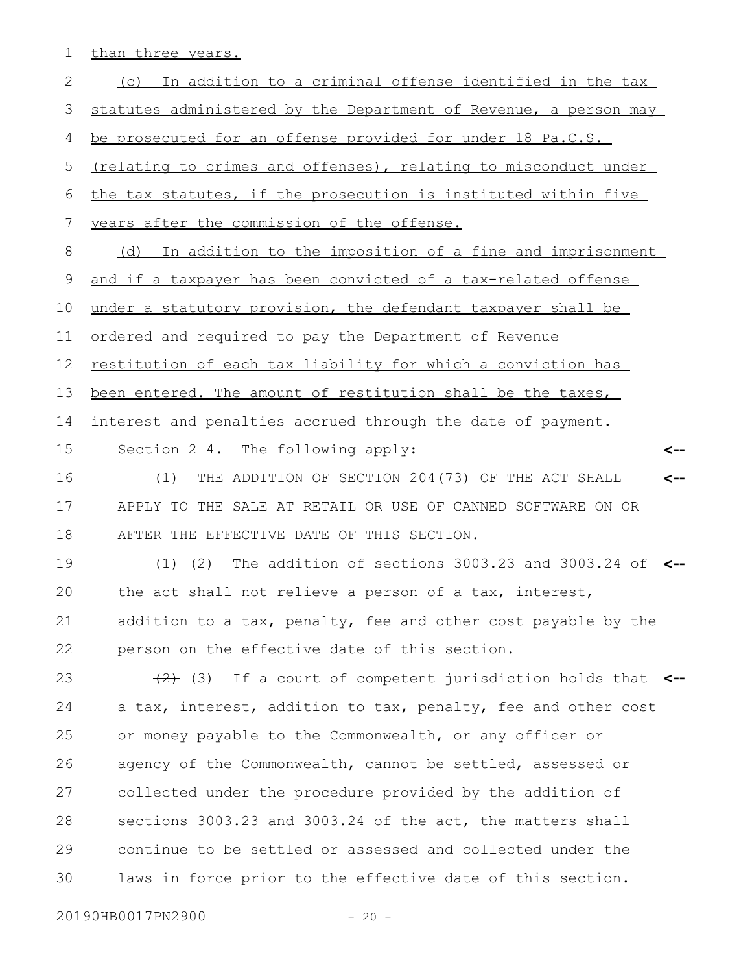1 than three years.

| $\mathbf{2}$ | (c) In addition to a criminal offense identified in the tax        |
|--------------|--------------------------------------------------------------------|
| 3            | statutes administered by the Department of Revenue, a person may   |
| 4            | be prosecuted for an offense provided for under 18 Pa.C.S.         |
| 5            | (relating to crimes and offenses), relating to misconduct under    |
| 6            | the tax statutes, if the prosecution is instituted within five     |
| 7            | years after the commission of the offense.                         |
| 8            | (d) In addition to the imposition of a fine and imprisonment       |
| 9            | and if a taxpayer has been convicted of a tax-related offense      |
| 10           | under a statutory provision, the defendant taxpayer shall be       |
| 11           | <u>ordered and required to pay the Department of Revenue</u>       |
| 12           | restitution of each tax liability for which a conviction has       |
| 13           | been entered. The amount of restitution shall be the taxes,        |
| 14           | interest and penalties accrued through the date of payment.        |
| 15           | Section 2 4. The following apply:<br><--                           |
| 16           | THE ADDITION OF SECTION 204(73) OF THE ACT SHALL<br>(1)<br><--     |
| 17           | APPLY TO THE SALE AT RETAIL OR USE OF CANNED SOFTWARE ON OR        |
| 18           | AFTER THE EFFECTIVE DATE OF THIS SECTION.                          |
| 19           | $(1)$ (2) The addition of sections 3003.23 and 3003.24 of $\leq$   |
| 20           | the act shall not relieve a person of a tax, interest,             |
| 21           | addition to a tax, penalty, fee and other cost payable by the      |
| 22           | person on the effective date of this section.                      |
| 23           | $(2)$ (3) If a court of competent jurisdiction holds that $\lt$ -- |
| 24           | a tax, interest, addition to tax, penalty, fee and other cost      |
| 25           | or money payable to the Commonwealth, or any officer or            |
| 26           | agency of the Commonwealth, cannot be settled, assessed or         |
| 27           | collected under the procedure provided by the addition of          |
| 28           | sections 3003.23 and 3003.24 of the act, the matters shall         |
| 29           | continue to be settled or assessed and collected under the         |
| 30           | laws in force prior to the effective date of this section.         |
|              |                                                                    |

20190HB0017PN2900 - 20 -